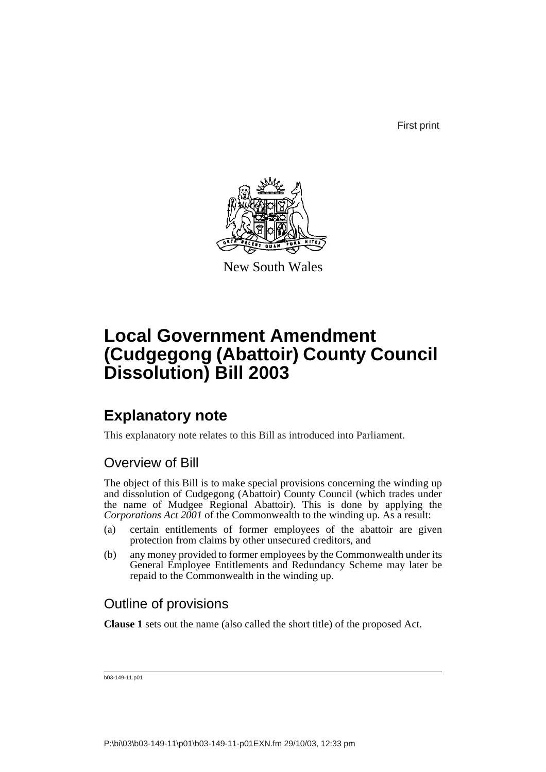First print



New South Wales

# **Local Government Amendment (Cudgegong (Abattoir) County Council Dissolution) Bill 2003**

# **Explanatory note**

This explanatory note relates to this Bill as introduced into Parliament.

## Overview of Bill

The object of this Bill is to make special provisions concerning the winding up and dissolution of Cudgegong (Abattoir) County Council (which trades under the name of Mudgee Regional Abattoir). This is done by applying the *Corporations Act 2001* of the Commonwealth to the winding up. As a result:

- (a) certain entitlements of former employees of the abattoir are given protection from claims by other unsecured creditors, and
- (b) any money provided to former employees by the Commonwealth under its General Employee Entitlements and Redundancy Scheme may later be repaid to the Commonwealth in the winding up.

## Outline of provisions

**Clause 1** sets out the name (also called the short title) of the proposed Act.

b03-149-11.p01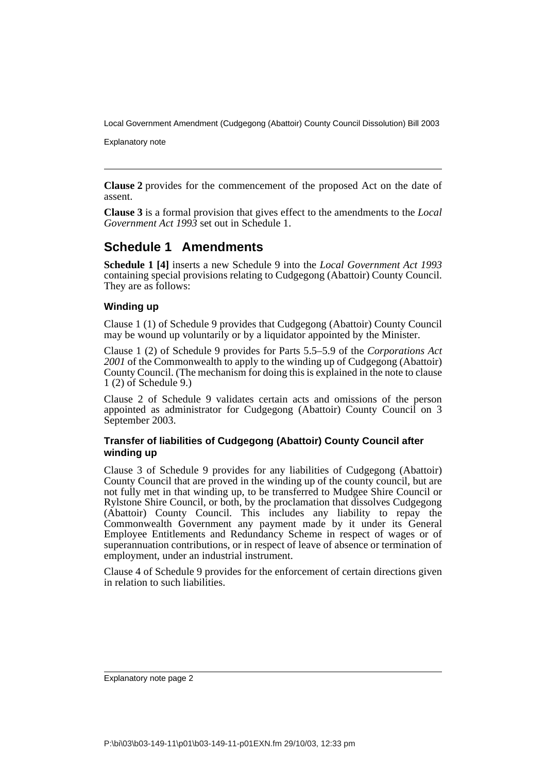Explanatory note

**Clause 2** provides for the commencement of the proposed Act on the date of assent.

**Clause 3** is a formal provision that gives effect to the amendments to the *Local Government Act 1993* set out in Schedule 1.

### **Schedule 1 Amendments**

**Schedule 1 [4]** inserts a new Schedule 9 into the *Local Government Act 1993* containing special provisions relating to Cudgegong (Abattoir) County Council. They are as follows:

### **Winding up**

Clause 1 (1) of Schedule 9 provides that Cudgegong (Abattoir) County Council may be wound up voluntarily or by a liquidator appointed by the Minister.

Clause 1 (2) of Schedule 9 provides for Parts 5.5–5.9 of the *Corporations Act 2001* of the Commonwealth to apply to the winding up of Cudgegong (Abattoir) County Council. (The mechanism for doing this is explained in the note to clause 1 (2) of Schedule 9.)

Clause 2 of Schedule 9 validates certain acts and omissions of the person appointed as administrator for Cudgegong (Abattoir) County Council on 3 September 2003.

### **Transfer of liabilities of Cudgegong (Abattoir) County Council after winding up**

Clause 3 of Schedule 9 provides for any liabilities of Cudgegong (Abattoir) County Council that are proved in the winding up of the county council, but are not fully met in that winding up, to be transferred to Mudgee Shire Council or Rylstone Shire Council, or both, by the proclamation that dissolves Cudgegong (Abattoir) County Council. This includes any liability to repay the Commonwealth Government any payment made by it under its General Employee Entitlements and Redundancy Scheme in respect of wages or of superannuation contributions, or in respect of leave of absence or termination of employment, under an industrial instrument.

Clause 4 of Schedule 9 provides for the enforcement of certain directions given in relation to such liabilities.

Explanatory note page 2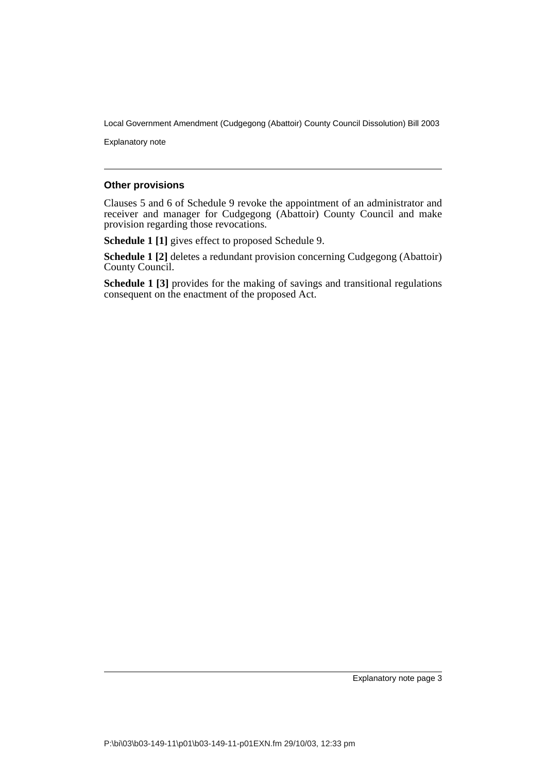Explanatory note

### **Other provisions**

Clauses 5 and 6 of Schedule 9 revoke the appointment of an administrator and receiver and manager for Cudgegong (Abattoir) County Council and make provision regarding those revocations.

**Schedule 1 [1]** gives effect to proposed Schedule 9.

**Schedule 1 [2]** deletes a redundant provision concerning Cudgegong (Abattoir) County Council.

**Schedule 1 [3]** provides for the making of savings and transitional regulations consequent on the enactment of the proposed Act.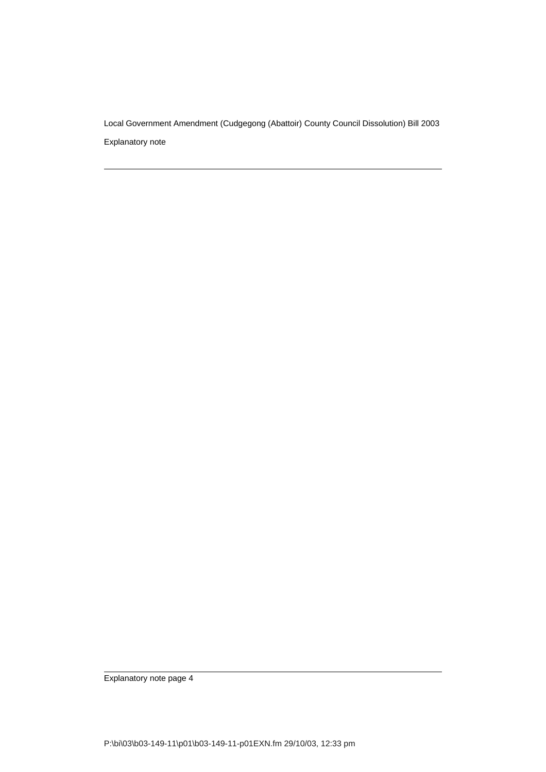Local Government Amendment (Cudgegong (Abattoir) County Council Dissolution) Bill 2003 Explanatory note

Explanatory note page 4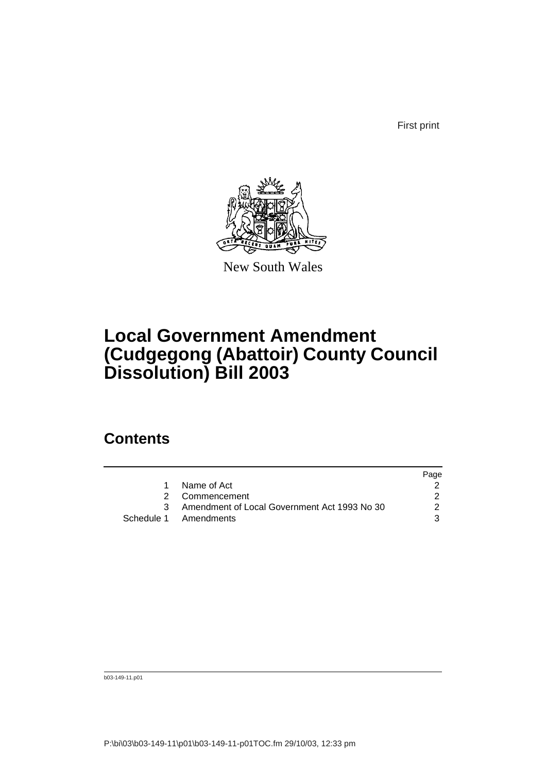First print



New South Wales

# **Local Government Amendment (Cudgegong (Abattoir) County Council Dissolution) Bill 2003**

## **Contents**

|                                                | Page |
|------------------------------------------------|------|
| Name of Act                                    |      |
| 2 Commencement                                 |      |
| 3 Amendment of Local Government Act 1993 No 30 | 2    |
| Schedule 1 Amendments                          | 3    |

b03-149-11.p01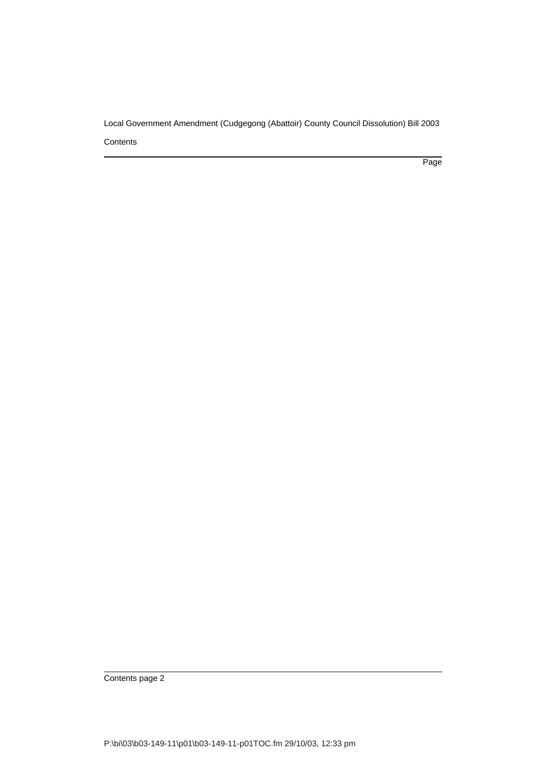Page

Contents page 2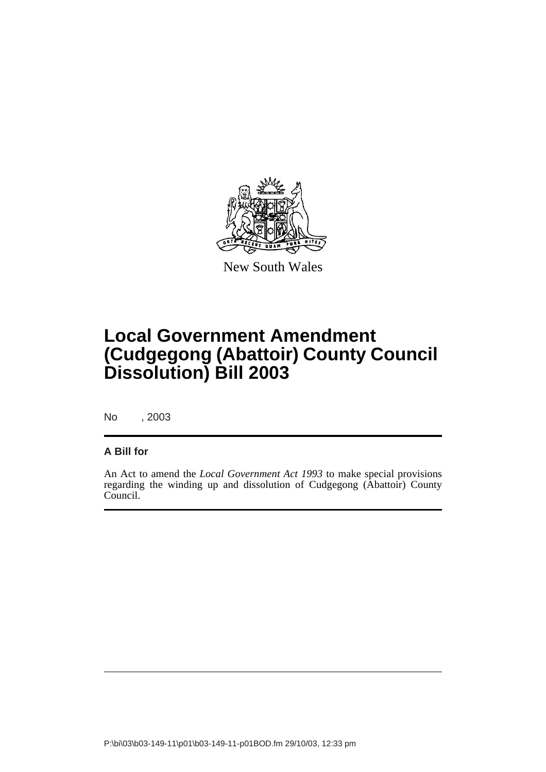

New South Wales

# **Local Government Amendment (Cudgegong (Abattoir) County Council Dissolution) Bill 2003**

No , 2003

### **A Bill for**

An Act to amend the *Local Government Act 1993* to make special provisions regarding the winding up and dissolution of Cudgegong (Abattoir) County Council.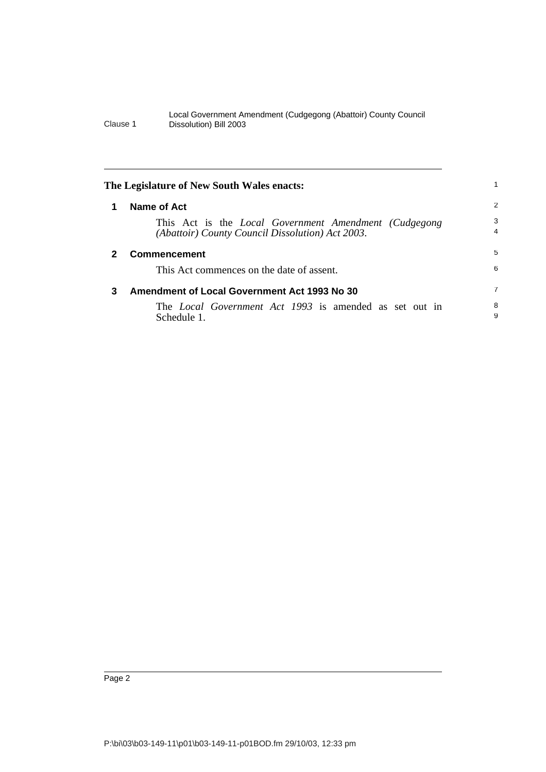<span id="page-7-2"></span><span id="page-7-1"></span><span id="page-7-0"></span>

| The Legislature of New South Wales enacts: |                                                                                                                  |                     |
|--------------------------------------------|------------------------------------------------------------------------------------------------------------------|---------------------|
| 1                                          | Name of Act                                                                                                      | 2                   |
|                                            | This Act is the <i>Local Government Amendment (Cudgegong</i><br>(Abattoir) County Council Dissolution) Act 2003. | 3<br>$\overline{4}$ |
| 2                                          | <b>Commencement</b>                                                                                              | 5                   |
|                                            | This Act commences on the date of assent.                                                                        | 6                   |
| 3                                          | <b>Amendment of Local Government Act 1993 No 30</b>                                                              | $\overline{7}$      |
|                                            | The <i>Local Government Act 1993</i> is amended as set out in<br>Schedule 1.                                     | 8<br>9              |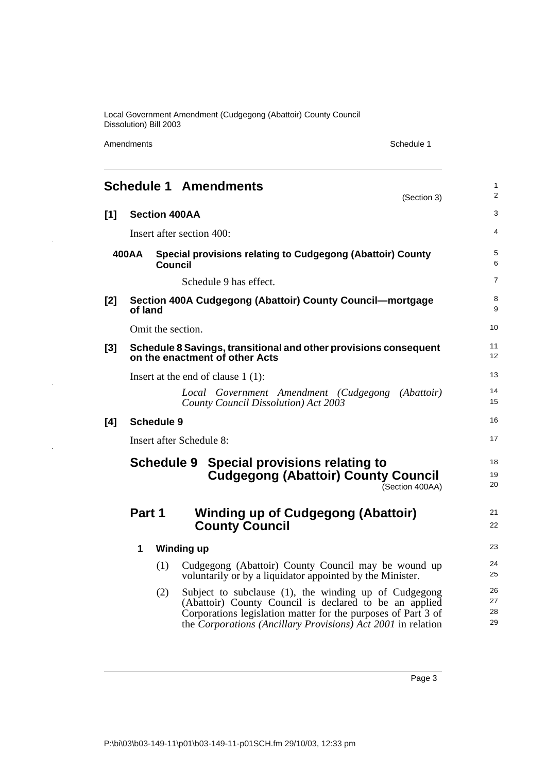Amendments Schedule 1

 $\ddot{\phantom{0}}$ 

i.

 $\bar{z}$ 

<span id="page-8-0"></span>

|       |                                                                                       |                   | <b>Schedule 1 Amendments</b><br>(Section 3)                                                                                                                                                                                                      | $\mathbf{1}$<br>2    |
|-------|---------------------------------------------------------------------------------------|-------------------|--------------------------------------------------------------------------------------------------------------------------------------------------------------------------------------------------------------------------------------------------|----------------------|
| [1]   |                                                                                       |                   | <b>Section 400AA</b>                                                                                                                                                                                                                             | 3                    |
|       |                                                                                       |                   | Insert after section 400:                                                                                                                                                                                                                        | $\overline{4}$       |
|       | Special provisions relating to Cudgegong (Abattoir) County<br>400AA<br><b>Council</b> |                   | 5<br>6                                                                                                                                                                                                                                           |                      |
|       |                                                                                       |                   | Schedule 9 has effect.                                                                                                                                                                                                                           | $\overline{7}$       |
| [2]   | of land                                                                               |                   | Section 400A Cudgegong (Abattoir) County Council-mortgage                                                                                                                                                                                        | 8<br>9               |
|       |                                                                                       |                   | Omit the section.                                                                                                                                                                                                                                | 10                   |
| $[3]$ |                                                                                       |                   | Schedule 8 Savings, transitional and other provisions consequent<br>on the enactment of other Acts                                                                                                                                               | 11<br>12             |
|       |                                                                                       |                   | Insert at the end of clause $1(1)$ :                                                                                                                                                                                                             | 13                   |
|       |                                                                                       |                   | Local Government Amendment (Cudgegong (Abattoir)<br>County Council Dissolution) Act 2003                                                                                                                                                         | 14<br>15             |
| [4]   |                                                                                       | <b>Schedule 9</b> |                                                                                                                                                                                                                                                  | 16                   |
|       |                                                                                       |                   | Insert after Schedule 8:                                                                                                                                                                                                                         | 17                   |
|       |                                                                                       |                   | Schedule 9 Special provisions relating to<br><b>Cudgegong (Abattoir) County Council</b><br>Section 400AA)                                                                                                                                        | 18<br>19<br>20       |
|       | Part 1                                                                                |                   | <b>Winding up of Cudgegong (Abattoir)</b><br><b>County Council</b>                                                                                                                                                                               | 21<br>22             |
|       | 1                                                                                     |                   | <b>Winding up</b>                                                                                                                                                                                                                                | 23                   |
|       |                                                                                       | (1)               | Cudgegong (Abattoir) County Council may be wound up<br>voluntarily or by a liquidator appointed by the Minister.                                                                                                                                 | 24<br>25             |
|       |                                                                                       | (2)               | Subject to subclause (1), the winding up of Cudgegong<br>(Abattoir) County Council is declared to be an applied<br>Corporations legislation matter for the purposes of Part 3 of<br>the Corporations (Ancillary Provisions) Act 2001 in relation | 26<br>27<br>28<br>29 |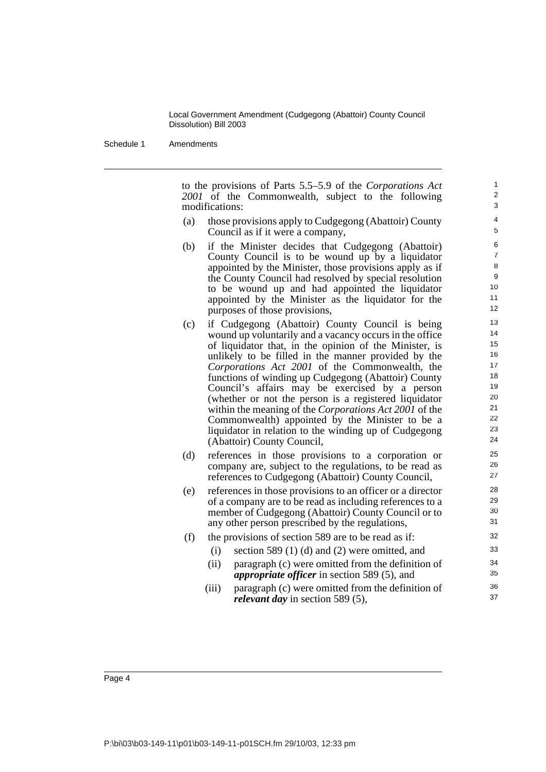Schedule 1 Amendments

to the provisions of Parts 5.5–5.9 of the *Corporations Act 2001* of the Commonwealth, subject to the following modifications:

- (a) those provisions apply to Cudgegong (Abattoir) County Council as if it were a company,
- (b) if the Minister decides that Cudgegong (Abattoir) County Council is to be wound up by a liquidator appointed by the Minister, those provisions apply as if the County Council had resolved by special resolution to be wound up and had appointed the liquidator appointed by the Minister as the liquidator for the purposes of those provisions,
- (c) if Cudgegong (Abattoir) County Council is being wound up voluntarily and a vacancy occurs in the office of liquidator that, in the opinion of the Minister, is unlikely to be filled in the manner provided by the *Corporations Act 2001* of the Commonwealth, the functions of winding up Cudgegong (Abattoir) County Council's affairs may be exercised by a person (whether or not the person is a registered liquidator within the meaning of the *Corporations Act 2001* of the Commonwealth) appointed by the Minister to be a liquidator in relation to the winding up of Cudgegong (Abattoir) County Council,
- (d) references in those provisions to a corporation or company are, subject to the regulations, to be read as references to Cudgegong (Abattoir) County Council,
- (e) references in those provisions to an officer or a director of a company are to be read as including references to a member of Cudgegong (Abattoir) County Council or to any other person prescribed by the regulations,
- (f) the provisions of section 589 are to be read as if:
	- (i) section 589 (1) (d) and (2) were omitted, and
	- (ii) paragraph (c) were omitted from the definition of *appropriate officer* in section 589 (5), and
	- (iii) paragraph (c) were omitted from the definition of *relevant day* in section 589 (5),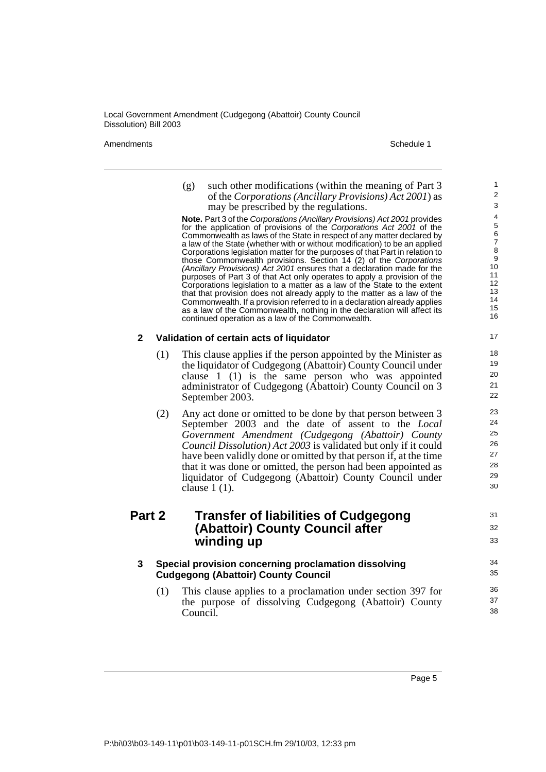Amendments Schedule 1

|             |     | such other modifications (within the meaning of Part 3)<br>(g)<br>of the Corporations (Ancillary Provisions) Act 2001) as<br>may be prescribed by the regulations.<br>Note. Part 3 of the Corporations (Ancillary Provisions) Act 2001 provides<br>for the application of provisions of the Corporations Act 2001 of the<br>Commonwealth as laws of the State in respect of any matter declared by<br>a law of the State (whether with or without modification) to be an applied<br>Corporations legislation matter for the purposes of that Part in relation to<br>those Commonwealth provisions. Section 14 (2) of the Corporations<br>(Ancillary Provisions) Act 2001 ensures that a declaration made for the<br>purposes of Part 3 of that Act only operates to apply a provision of the<br>Corporations legislation to a matter as a law of the State to the extent<br>that that provision does not already apply to the matter as a law of the<br>Commonwealth. If a provision referred to in a declaration already applies<br>as a law of the Commonwealth, nothing in the declaration will affect its<br>continued operation as a law of the Commonwealth. | $\mathbf 1$<br>$\overline{2}$<br>3<br>4<br>5<br>6<br>7<br>8<br>9<br>10<br>11<br>12<br>13<br>14<br>15<br>16 |
|-------------|-----|--------------------------------------------------------------------------------------------------------------------------------------------------------------------------------------------------------------------------------------------------------------------------------------------------------------------------------------------------------------------------------------------------------------------------------------------------------------------------------------------------------------------------------------------------------------------------------------------------------------------------------------------------------------------------------------------------------------------------------------------------------------------------------------------------------------------------------------------------------------------------------------------------------------------------------------------------------------------------------------------------------------------------------------------------------------------------------------------------------------------------------------------------------------------|------------------------------------------------------------------------------------------------------------|
| $\mathbf 2$ |     | Validation of certain acts of liquidator                                                                                                                                                                                                                                                                                                                                                                                                                                                                                                                                                                                                                                                                                                                                                                                                                                                                                                                                                                                                                                                                                                                           | 17                                                                                                         |
|             | (1) | This clause applies if the person appointed by the Minister as<br>the liquidator of Cudgegong (Abattoir) County Council under<br>clause 1 (1) is the same person who was appointed<br>administrator of Cudgegong (Abattoir) County Council on 3<br>September 2003.                                                                                                                                                                                                                                                                                                                                                                                                                                                                                                                                                                                                                                                                                                                                                                                                                                                                                                 | 18<br>19<br>20<br>21<br>22                                                                                 |
|             | (2) | Any act done or omitted to be done by that person between 3<br>September 2003 and the date of assent to the Local<br>Government Amendment (Cudgegong (Abattoir) County<br>Council Dissolution) Act 2003 is validated but only if it could<br>have been validly done or omitted by that person if, at the time<br>that it was done or omitted, the person had been appointed as<br>liquidator of Cudgegong (Abattoir) County Council under<br>clause $1(1)$ .                                                                                                                                                                                                                                                                                                                                                                                                                                                                                                                                                                                                                                                                                                       | 23<br>24<br>25<br>26<br>27<br>28<br>29<br>30                                                               |
| Part 2      |     | <b>Transfer of liabilities of Cudgegong</b><br>(Abattoir) County Council after<br>winding up                                                                                                                                                                                                                                                                                                                                                                                                                                                                                                                                                                                                                                                                                                                                                                                                                                                                                                                                                                                                                                                                       | 31<br>32<br>33                                                                                             |
| 3           |     | Special provision concerning proclamation dissolving<br><b>Cudgegong (Abattoir) County Council</b>                                                                                                                                                                                                                                                                                                                                                                                                                                                                                                                                                                                                                                                                                                                                                                                                                                                                                                                                                                                                                                                                 | 34<br>35                                                                                                   |
|             | (1) | This clause applies to a proclamation under section 397 for<br>the purpose of dissolving Cudgegong (Abattoir) County<br>Council.                                                                                                                                                                                                                                                                                                                                                                                                                                                                                                                                                                                                                                                                                                                                                                                                                                                                                                                                                                                                                                   | 36<br>37<br>38                                                                                             |
|             |     |                                                                                                                                                                                                                                                                                                                                                                                                                                                                                                                                                                                                                                                                                                                                                                                                                                                                                                                                                                                                                                                                                                                                                                    |                                                                                                            |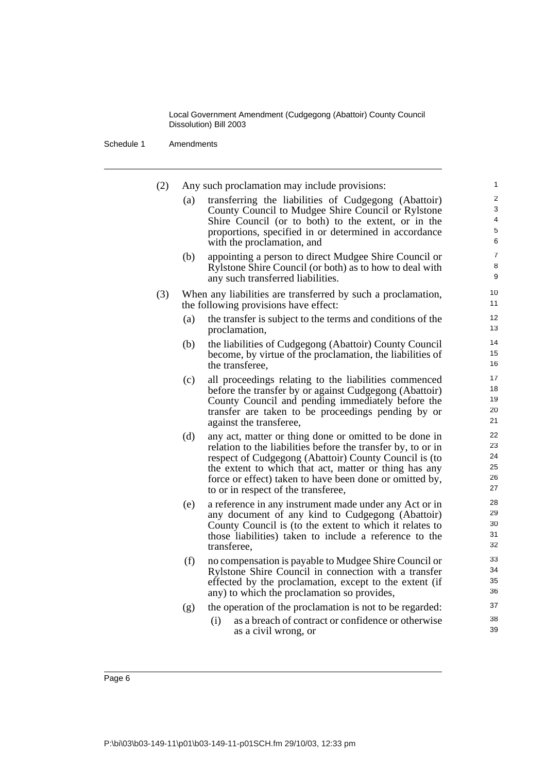Schedule 1 Amendments

| (2) |     | Any such proclamation may include provisions:                                                                          | 1                   |
|-----|-----|------------------------------------------------------------------------------------------------------------------------|---------------------|
|     | (a) | transferring the liabilities of Cudgegong (Abattoir)<br>County Council to Mudgee Shire Council or Rylstone             | 2<br>3              |
|     |     | Shire Council (or to both) to the extent, or in the<br>proportions, specified in or determined in accordance           | 4<br>5              |
|     |     | with the proclamation, and                                                                                             | 6                   |
|     | (b) | appointing a person to direct Mudgee Shire Council or                                                                  | $\overline{7}$<br>8 |
|     |     | Rylstone Shire Council (or both) as to how to deal with<br>any such transferred liabilities.                           | 9                   |
| (3) |     | When any liabilities are transferred by such a proclamation,<br>the following provisions have effect:                  | 10<br>11            |
|     | (a) | the transfer is subject to the terms and conditions of the<br>proclamation,                                            | 12<br>13            |
|     | (b) | the liabilities of Cudgegong (Abattoir) County Council                                                                 | 14<br>15            |
|     |     | become, by virtue of the proclamation, the liabilities of<br>the transferee.                                           | 16                  |
|     | (c) | all proceedings relating to the liabilities commenced                                                                  | 17                  |
|     |     | before the transfer by or against Cudgegong (Abattoir)<br>County Council and pending immediately before the            | 18<br>19            |
|     |     | transfer are taken to be proceedings pending by or                                                                     | 20                  |
|     |     | against the transferee,                                                                                                | 21                  |
|     | (d) | any act, matter or thing done or omitted to be done in<br>relation to the liabilities before the transfer by, to or in | 22<br>23            |
|     |     | respect of Cudgegong (Abattoir) County Council is (to                                                                  | 24                  |
|     |     | the extent to which that act, matter or thing has any<br>force or effect) taken to have been done or omitted by,       | 25<br>26            |
|     |     | to or in respect of the transferee,                                                                                    | 27                  |
|     | (e) | a reference in any instrument made under any Act or in                                                                 | 28                  |
|     |     | any document of any kind to Cudgegong (Abattoir)<br>County Council is (to the extent to which it relates to            | 29<br>30            |
|     |     | those liabilities) taken to include a reference to the                                                                 | 31                  |
|     |     | transferee.                                                                                                            | 32                  |
|     | (f) | no compensation is payable to Mudgee Shire Council or<br>Rylstone Shire Council in connection with a transfer          | 33<br>34            |
|     |     | effected by the proclamation, except to the extent (if                                                                 | 35                  |
|     |     | any) to which the proclamation so provides,                                                                            | 36                  |
|     | (g) | the operation of the proclamation is not to be regarded:                                                               | 37                  |
|     |     | as a breach of contract or confidence or otherwise<br>(i)<br>as a civil wrong, or                                      | 38<br>39            |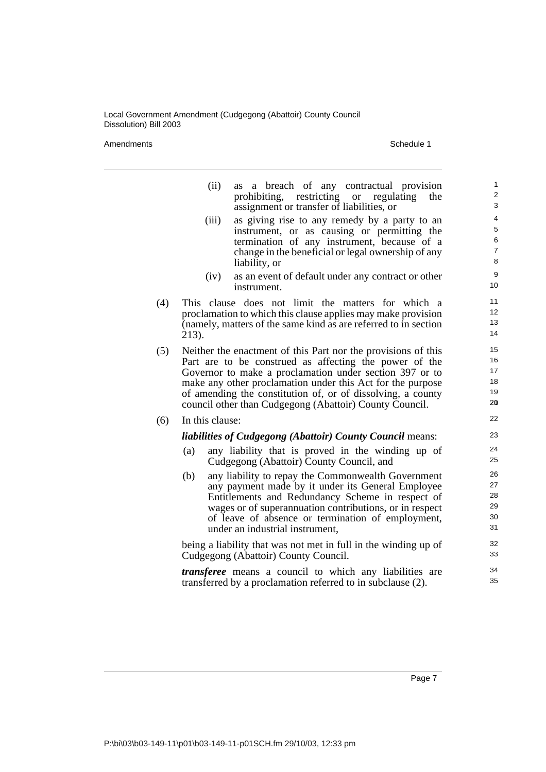Amendments Schedule 1

|     | (ii)<br>a breach of any contractual provision<br>as<br>prohibiting, restricting or regulating<br>the<br>assignment or transfer of liabilities, or<br>as giving rise to any remedy by a party to an<br>(iii)                                                                                                                                                                | 1<br>$\overline{2}$<br>3<br>$\overline{4}$ |  |
|-----|----------------------------------------------------------------------------------------------------------------------------------------------------------------------------------------------------------------------------------------------------------------------------------------------------------------------------------------------------------------------------|--------------------------------------------|--|
|     | instrument, or as causing or permitting the<br>termination of any instrument, because of a<br>change in the beneficial or legal ownership of any<br>liability, or                                                                                                                                                                                                          | 5<br>6<br>$\overline{7}$<br>8              |  |
|     | (iv)<br>as an event of default under any contract or other<br>instrument.                                                                                                                                                                                                                                                                                                  | 9<br>10                                    |  |
| (4) | This clause does not limit the matters for which a<br>proclamation to which this clause applies may make provision<br>(namely, matters of the same kind as are referred to in section<br>213).                                                                                                                                                                             | 11<br>12<br>13<br>14                       |  |
| (5) | Neither the enactment of this Part nor the provisions of this<br>Part are to be construed as affecting the power of the<br>Governor to make a proclamation under section 397 or to<br>make any other proclamation under this Act for the purpose<br>of amending the constitution of, or of dissolving, a county<br>council other than Cudgegong (Abattoir) County Council. | 15<br>16<br>17<br>18<br>19<br>20           |  |
| (6) | In this clause:                                                                                                                                                                                                                                                                                                                                                            |                                            |  |
|     | <i>liabilities of Cudgegong (Abattoir) County Council means:</i>                                                                                                                                                                                                                                                                                                           |                                            |  |
|     | any liability that is proved in the winding up of<br>(a)<br>Cudgegong (Abattoir) County Council, and                                                                                                                                                                                                                                                                       | 24<br>25                                   |  |
|     | (b)<br>any liability to repay the Commonwealth Government<br>any payment made by it under its General Employee<br>Entitlements and Redundancy Scheme in respect of<br>wages or of superannuation contributions, or in respect<br>of leave of absence or termination of employment,<br>under an industrial instrument,                                                      | 26<br>27<br>28<br>29<br>30<br>31           |  |
|     | being a liability that was not met in full in the winding up of<br>Cudgegong (Abattoir) County Council.                                                                                                                                                                                                                                                                    |                                            |  |
|     | <i>transferee</i> means a council to which any liabilities are<br>transferred by a proclamation referred to in subclause (2).                                                                                                                                                                                                                                              |                                            |  |